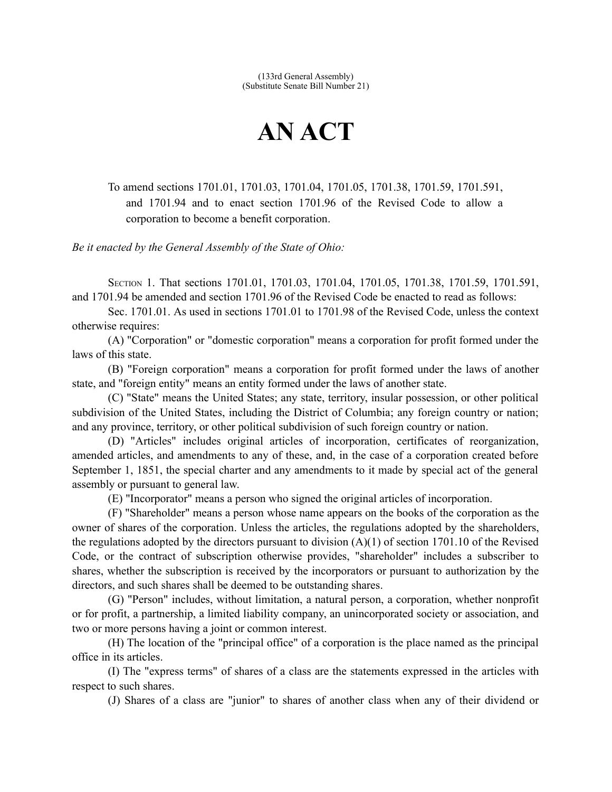(133rd General Assembly) (Substitute Senate Bill Number 21)

## **AN ACT**

To amend sections 1701.01, 1701.03, 1701.04, 1701.05, 1701.38, 1701.59, 1701.591, and 1701.94 and to enact section 1701.96 of the Revised Code to allow a corporation to become a benefit corporation.

*Be it enacted by the General Assembly of the State of Ohio:*

SECTION 1. That sections 1701.01, 1701.03, 1701.04, 1701.05, 1701.38, 1701.59, 1701.591, and 1701.94 be amended and section 1701.96 of the Revised Code be enacted to read as follows:

Sec. 1701.01. As used in sections 1701.01 to 1701.98 of the Revised Code, unless the context otherwise requires:

(A) "Corporation" or "domestic corporation" means a corporation for profit formed under the laws of this state.

(B) "Foreign corporation" means a corporation for profit formed under the laws of another state, and "foreign entity" means an entity formed under the laws of another state.

(C) "State" means the United States; any state, territory, insular possession, or other political subdivision of the United States, including the District of Columbia; any foreign country or nation; and any province, territory, or other political subdivision of such foreign country or nation.

(D) "Articles" includes original articles of incorporation, certificates of reorganization, amended articles, and amendments to any of these, and, in the case of a corporation created before September 1, 1851, the special charter and any amendments to it made by special act of the general assembly or pursuant to general law.

(E) "Incorporator" means a person who signed the original articles of incorporation.

(F) "Shareholder" means a person whose name appears on the books of the corporation as the owner of shares of the corporation. Unless the articles, the regulations adopted by the shareholders, the regulations adopted by the directors pursuant to division  $(A)(1)$  of section 1701.10 of the Revised Code, or the contract of subscription otherwise provides, "shareholder" includes a subscriber to shares, whether the subscription is received by the incorporators or pursuant to authorization by the directors, and such shares shall be deemed to be outstanding shares.

(G) "Person" includes, without limitation, a natural person, a corporation, whether nonprofit or for profit, a partnership, a limited liability company, an unincorporated society or association, and two or more persons having a joint or common interest.

(H) The location of the "principal office" of a corporation is the place named as the principal office in its articles.

(I) The "express terms" of shares of a class are the statements expressed in the articles with respect to such shares.

(J) Shares of a class are "junior" to shares of another class when any of their dividend or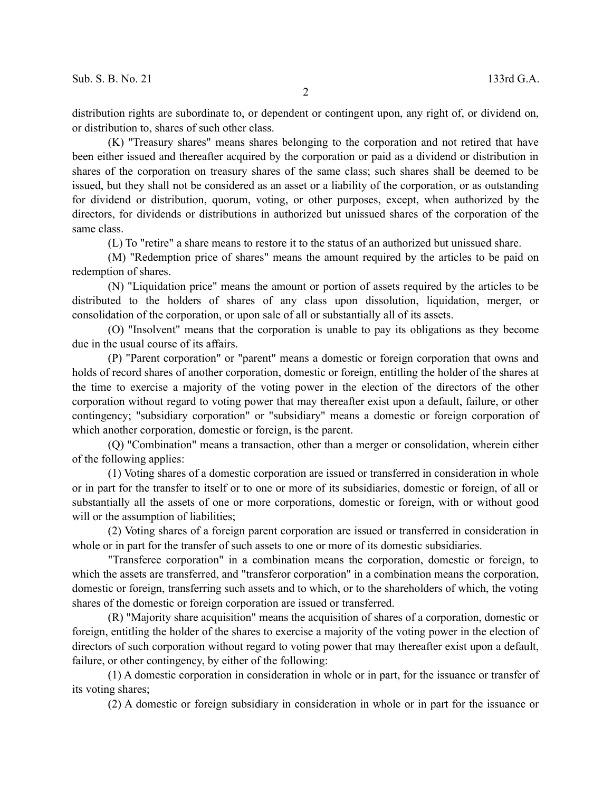distribution rights are subordinate to, or dependent or contingent upon, any right of, or dividend on, or distribution to, shares of such other class.

(K) "Treasury shares" means shares belonging to the corporation and not retired that have been either issued and thereafter acquired by the corporation or paid as a dividend or distribution in shares of the corporation on treasury shares of the same class; such shares shall be deemed to be issued, but they shall not be considered as an asset or a liability of the corporation, or as outstanding for dividend or distribution, quorum, voting, or other purposes, except, when authorized by the directors, for dividends or distributions in authorized but unissued shares of the corporation of the same class.

(L) To "retire" a share means to restore it to the status of an authorized but unissued share.

(M) "Redemption price of shares" means the amount required by the articles to be paid on redemption of shares.

(N) "Liquidation price" means the amount or portion of assets required by the articles to be distributed to the holders of shares of any class upon dissolution, liquidation, merger, or consolidation of the corporation, or upon sale of all or substantially all of its assets.

(O) "Insolvent" means that the corporation is unable to pay its obligations as they become due in the usual course of its affairs.

(P) "Parent corporation" or "parent" means a domestic or foreign corporation that owns and holds of record shares of another corporation, domestic or foreign, entitling the holder of the shares at the time to exercise a majority of the voting power in the election of the directors of the other corporation without regard to voting power that may thereafter exist upon a default, failure, or other contingency; "subsidiary corporation" or "subsidiary" means a domestic or foreign corporation of which another corporation, domestic or foreign, is the parent.

(Q) "Combination" means a transaction, other than a merger or consolidation, wherein either of the following applies:

(1) Voting shares of a domestic corporation are issued or transferred in consideration in whole or in part for the transfer to itself or to one or more of its subsidiaries, domestic or foreign, of all or substantially all the assets of one or more corporations, domestic or foreign, with or without good will or the assumption of liabilities;

(2) Voting shares of a foreign parent corporation are issued or transferred in consideration in whole or in part for the transfer of such assets to one or more of its domestic subsidiaries.

"Transferee corporation" in a combination means the corporation, domestic or foreign, to which the assets are transferred, and "transferor corporation" in a combination means the corporation, domestic or foreign, transferring such assets and to which, or to the shareholders of which, the voting shares of the domestic or foreign corporation are issued or transferred.

(R) "Majority share acquisition" means the acquisition of shares of a corporation, domestic or foreign, entitling the holder of the shares to exercise a majority of the voting power in the election of directors of such corporation without regard to voting power that may thereafter exist upon a default, failure, or other contingency, by either of the following:

(1) A domestic corporation in consideration in whole or in part, for the issuance or transfer of its voting shares;

(2) A domestic or foreign subsidiary in consideration in whole or in part for the issuance or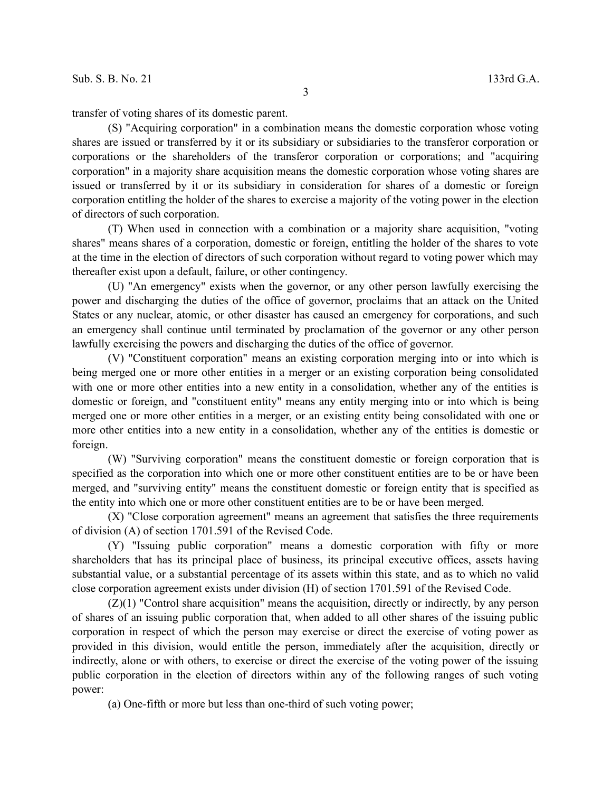transfer of voting shares of its domestic parent.

(S) "Acquiring corporation" in a combination means the domestic corporation whose voting shares are issued or transferred by it or its subsidiary or subsidiaries to the transferor corporation or corporations or the shareholders of the transferor corporation or corporations; and "acquiring corporation" in a majority share acquisition means the domestic corporation whose voting shares are issued or transferred by it or its subsidiary in consideration for shares of a domestic or foreign corporation entitling the holder of the shares to exercise a majority of the voting power in the election of directors of such corporation.

(T) When used in connection with a combination or a majority share acquisition, "voting shares" means shares of a corporation, domestic or foreign, entitling the holder of the shares to vote at the time in the election of directors of such corporation without regard to voting power which may thereafter exist upon a default, failure, or other contingency.

(U) "An emergency" exists when the governor, or any other person lawfully exercising the power and discharging the duties of the office of governor, proclaims that an attack on the United States or any nuclear, atomic, or other disaster has caused an emergency for corporations, and such an emergency shall continue until terminated by proclamation of the governor or any other person lawfully exercising the powers and discharging the duties of the office of governor.

(V) "Constituent corporation" means an existing corporation merging into or into which is being merged one or more other entities in a merger or an existing corporation being consolidated with one or more other entities into a new entity in a consolidation, whether any of the entities is domestic or foreign, and "constituent entity" means any entity merging into or into which is being merged one or more other entities in a merger, or an existing entity being consolidated with one or more other entities into a new entity in a consolidation, whether any of the entities is domestic or foreign.

(W) "Surviving corporation" means the constituent domestic or foreign corporation that is specified as the corporation into which one or more other constituent entities are to be or have been merged, and "surviving entity" means the constituent domestic or foreign entity that is specified as the entity into which one or more other constituent entities are to be or have been merged.

(X) "Close corporation agreement" means an agreement that satisfies the three requirements of division (A) of section 1701.591 of the Revised Code.

(Y) "Issuing public corporation" means a domestic corporation with fifty or more shareholders that has its principal place of business, its principal executive offices, assets having substantial value, or a substantial percentage of its assets within this state, and as to which no valid close corporation agreement exists under division (H) of section 1701.591 of the Revised Code.

 $(Z)(1)$  "Control share acquisition" means the acquisition, directly or indirectly, by any person of shares of an issuing public corporation that, when added to all other shares of the issuing public corporation in respect of which the person may exercise or direct the exercise of voting power as provided in this division, would entitle the person, immediately after the acquisition, directly or indirectly, alone or with others, to exercise or direct the exercise of the voting power of the issuing public corporation in the election of directors within any of the following ranges of such voting power:

(a) One-fifth or more but less than one-third of such voting power;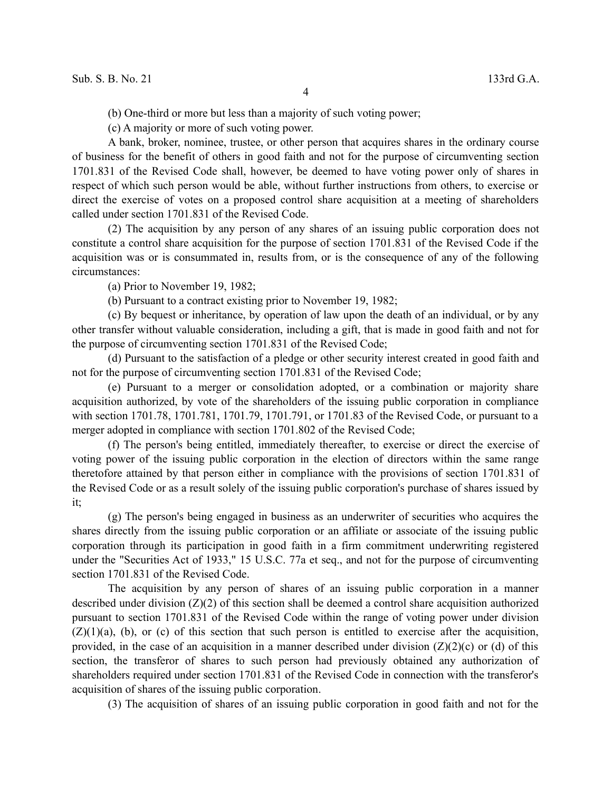(b) One-third or more but less than a majority of such voting power;

(c) A majority or more of such voting power.

A bank, broker, nominee, trustee, or other person that acquires shares in the ordinary course of business for the benefit of others in good faith and not for the purpose of circumventing section 1701.831 of the Revised Code shall, however, be deemed to have voting power only of shares in respect of which such person would be able, without further instructions from others, to exercise or direct the exercise of votes on a proposed control share acquisition at a meeting of shareholders called under section 1701.831 of the Revised Code.

(2) The acquisition by any person of any shares of an issuing public corporation does not constitute a control share acquisition for the purpose of section 1701.831 of the Revised Code if the acquisition was or is consummated in, results from, or is the consequence of any of the following circumstances:

(a) Prior to November 19, 1982;

(b) Pursuant to a contract existing prior to November 19, 1982;

(c) By bequest or inheritance, by operation of law upon the death of an individual, or by any other transfer without valuable consideration, including a gift, that is made in good faith and not for the purpose of circumventing section 1701.831 of the Revised Code;

(d) Pursuant to the satisfaction of a pledge or other security interest created in good faith and not for the purpose of circumventing section 1701.831 of the Revised Code;

(e) Pursuant to a merger or consolidation adopted, or a combination or majority share acquisition authorized, by vote of the shareholders of the issuing public corporation in compliance with section 1701.78, 1701.781, 1701.79, 1701.791, or 1701.83 of the Revised Code, or pursuant to a merger adopted in compliance with section 1701.802 of the Revised Code;

(f) The person's being entitled, immediately thereafter, to exercise or direct the exercise of voting power of the issuing public corporation in the election of directors within the same range theretofore attained by that person either in compliance with the provisions of section 1701.831 of the Revised Code or as a result solely of the issuing public corporation's purchase of shares issued by it;

(g) The person's being engaged in business as an underwriter of securities who acquires the shares directly from the issuing public corporation or an affiliate or associate of the issuing public corporation through its participation in good faith in a firm commitment underwriting registered under the "Securities Act of 1933," 15 U.S.C. 77a et seq., and not for the purpose of circumventing section 1701.831 of the Revised Code.

The acquisition by any person of shares of an issuing public corporation in a manner described under division (Z)(2) of this section shall be deemed a control share acquisition authorized pursuant to section 1701.831 of the Revised Code within the range of voting power under division  $(Z)(1)(a)$ , (b), or (c) of this section that such person is entitled to exercise after the acquisition, provided, in the case of an acquisition in a manner described under division  $(Z)(2)(c)$  or (d) of this section, the transferor of shares to such person had previously obtained any authorization of shareholders required under section 1701.831 of the Revised Code in connection with the transferor's acquisition of shares of the issuing public corporation.

(3) The acquisition of shares of an issuing public corporation in good faith and not for the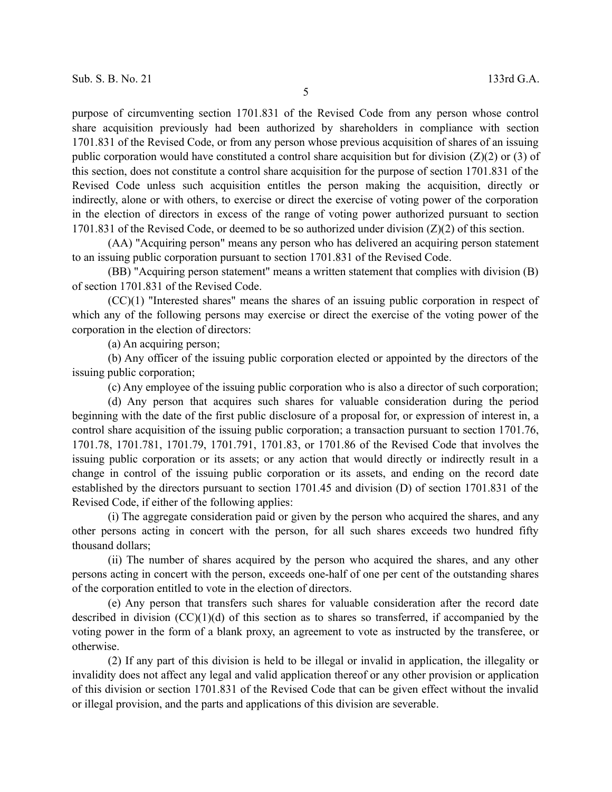5

purpose of circumventing section 1701.831 of the Revised Code from any person whose control share acquisition previously had been authorized by shareholders in compliance with section 1701.831 of the Revised Code, or from any person whose previous acquisition of shares of an issuing public corporation would have constituted a control share acquisition but for division  $(Z)(2)$  or (3) of this section, does not constitute a control share acquisition for the purpose of section 1701.831 of the Revised Code unless such acquisition entitles the person making the acquisition, directly or indirectly, alone or with others, to exercise or direct the exercise of voting power of the corporation in the election of directors in excess of the range of voting power authorized pursuant to section 1701.831 of the Revised Code, or deemed to be so authorized under division  $(Z)(2)$  of this section.

(AA) "Acquiring person" means any person who has delivered an acquiring person statement to an issuing public corporation pursuant to section 1701.831 of the Revised Code.

(BB) "Acquiring person statement" means a written statement that complies with division (B) of section 1701.831 of the Revised Code.

(CC)(1) "Interested shares" means the shares of an issuing public corporation in respect of which any of the following persons may exercise or direct the exercise of the voting power of the corporation in the election of directors:

(a) An acquiring person;

(b) Any officer of the issuing public corporation elected or appointed by the directors of the issuing public corporation;

(c) Any employee of the issuing public corporation who is also a director of such corporation;

(d) Any person that acquires such shares for valuable consideration during the period beginning with the date of the first public disclosure of a proposal for, or expression of interest in, a control share acquisition of the issuing public corporation; a transaction pursuant to section 1701.76, 1701.78, 1701.781, 1701.79, 1701.791, 1701.83, or 1701.86 of the Revised Code that involves the issuing public corporation or its assets; or any action that would directly or indirectly result in a change in control of the issuing public corporation or its assets, and ending on the record date established by the directors pursuant to section 1701.45 and division (D) of section 1701.831 of the Revised Code, if either of the following applies:

(i) The aggregate consideration paid or given by the person who acquired the shares, and any other persons acting in concert with the person, for all such shares exceeds two hundred fifty thousand dollars;

(ii) The number of shares acquired by the person who acquired the shares, and any other persons acting in concert with the person, exceeds one-half of one per cent of the outstanding shares of the corporation entitled to vote in the election of directors.

(e) Any person that transfers such shares for valuable consideration after the record date described in division  $(CC)(1)(d)$  of this section as to shares so transferred, if accompanied by the voting power in the form of a blank proxy, an agreement to vote as instructed by the transferee, or otherwise.

(2) If any part of this division is held to be illegal or invalid in application, the illegality or invalidity does not affect any legal and valid application thereof or any other provision or application of this division or section 1701.831 of the Revised Code that can be given effect without the invalid or illegal provision, and the parts and applications of this division are severable.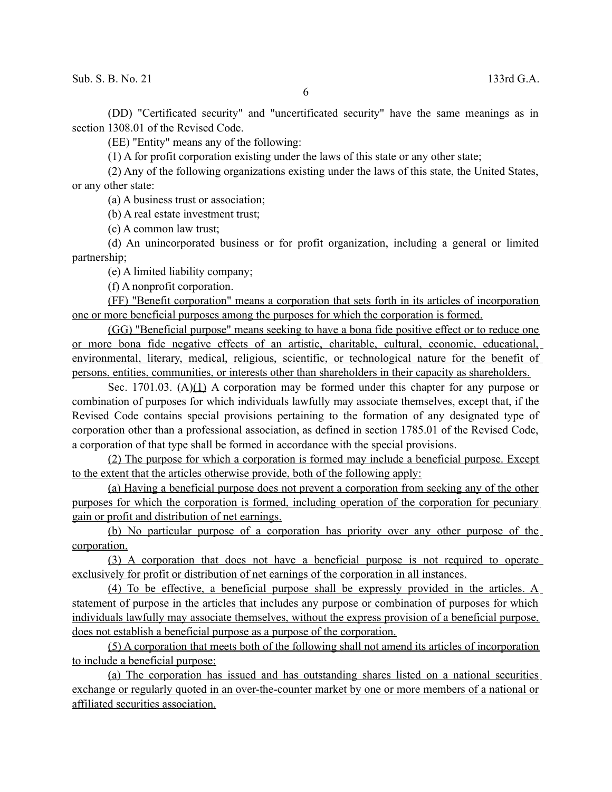$\text{Sub. S. B. No. 21}$  133rd G.A.

(DD) "Certificated security" and "uncertificated security" have the same meanings as in section 1308.01 of the Revised Code.

(EE) "Entity" means any of the following:

(1) A for profit corporation existing under the laws of this state or any other state;

(2) Any of the following organizations existing under the laws of this state, the United States, or any other state:

(a) A business trust or association;

(b) A real estate investment trust;

(c) A common law trust;

(d) An unincorporated business or for profit organization, including a general or limited partnership;

(e) A limited liability company;

(f) A nonprofit corporation.

(FF) "Benefit corporation" means a corporation that sets forth in its articles of incorporation one or more beneficial purposes among the purposes for which the corporation is formed.

(GG) "Beneficial purpose" means seeking to have a bona fide positive effect or to reduce one or more bona fide negative effects of an artistic, charitable, cultural, economic, educational, environmental, literary, medical, religious, scientific, or technological nature for the benefit of persons, entities, communities, or interests other than shareholders in their capacity as shareholders.

Sec. 1701.03. (A)(1) A corporation may be formed under this chapter for any purpose or combination of purposes for which individuals lawfully may associate themselves, except that, if the Revised Code contains special provisions pertaining to the formation of any designated type of corporation other than a professional association, as defined in section 1785.01 of the Revised Code, a corporation of that type shall be formed in accordance with the special provisions.

(2) The purpose for which a corporation is formed may include a beneficial purpose. Except to the extent that the articles otherwise provide, both of the following apply:

(a) Having a beneficial purpose does not prevent a corporation from seeking any of the other purposes for which the corporation is formed, including operation of the corporation for pecuniary gain or profit and distribution of net earnings.

(b) No particular purpose of a corporation has priority over any other purpose of the corporation.

(3) A corporation that does not have a beneficial purpose is not required to operate exclusively for profit or distribution of net earnings of the corporation in all instances.

(4) To be effective, a beneficial purpose shall be expressly provided in the articles. A statement of purpose in the articles that includes any purpose or combination of purposes for which individuals lawfully may associate themselves, without the express provision of a beneficial purpose, does not establish a beneficial purpose as a purpose of the corporation.

(5) A corporation that meets both of the following shall not amend its articles of incorporation to include a beneficial purpose:

(a) The corporation has issued and has outstanding shares listed on a national securities exchange or regularly quoted in an over-the-counter market by one or more members of a national or affiliated securities association.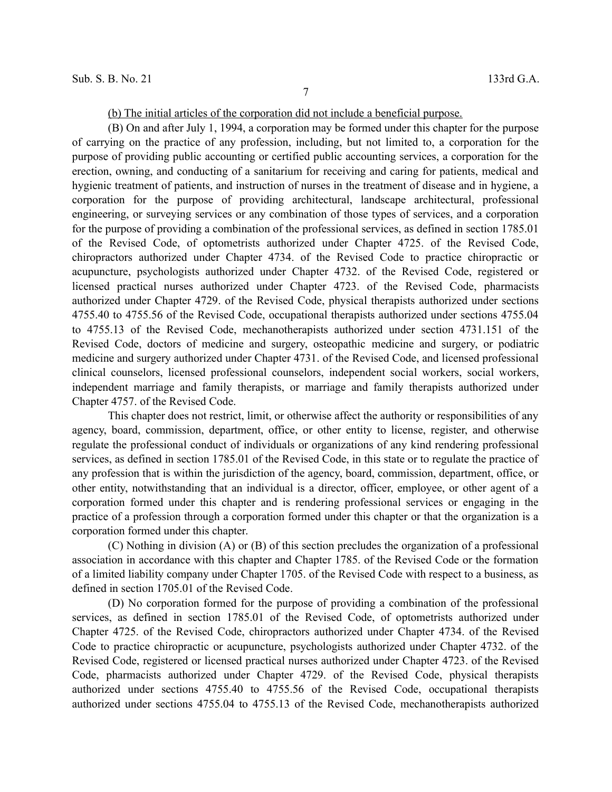(b) The initial articles of the corporation did not include a beneficial purpose.

(B) On and after July 1, 1994, a corporation may be formed under this chapter for the purpose of carrying on the practice of any profession, including, but not limited to, a corporation for the purpose of providing public accounting or certified public accounting services, a corporation for the erection, owning, and conducting of a sanitarium for receiving and caring for patients, medical and hygienic treatment of patients, and instruction of nurses in the treatment of disease and in hygiene, a corporation for the purpose of providing architectural, landscape architectural, professional engineering, or surveying services or any combination of those types of services, and a corporation for the purpose of providing a combination of the professional services, as defined in section 1785.01 of the Revised Code, of optometrists authorized under Chapter 4725. of the Revised Code, chiropractors authorized under Chapter 4734. of the Revised Code to practice chiropractic or acupuncture, psychologists authorized under Chapter 4732. of the Revised Code, registered or licensed practical nurses authorized under Chapter 4723. of the Revised Code, pharmacists authorized under Chapter 4729. of the Revised Code, physical therapists authorized under sections 4755.40 to 4755.56 of the Revised Code, occupational therapists authorized under sections 4755.04 to 4755.13 of the Revised Code, mechanotherapists authorized under section 4731.151 of the Revised Code, doctors of medicine and surgery, osteopathic medicine and surgery, or podiatric medicine and surgery authorized under Chapter 4731. of the Revised Code, and licensed professional clinical counselors, licensed professional counselors, independent social workers, social workers, independent marriage and family therapists, or marriage and family therapists authorized under Chapter 4757. of the Revised Code.

This chapter does not restrict, limit, or otherwise affect the authority or responsibilities of any agency, board, commission, department, office, or other entity to license, register, and otherwise regulate the professional conduct of individuals or organizations of any kind rendering professional services, as defined in section 1785.01 of the Revised Code, in this state or to regulate the practice of any profession that is within the jurisdiction of the agency, board, commission, department, office, or other entity, notwithstanding that an individual is a director, officer, employee, or other agent of a corporation formed under this chapter and is rendering professional services or engaging in the practice of a profession through a corporation formed under this chapter or that the organization is a corporation formed under this chapter.

(C) Nothing in division (A) or (B) of this section precludes the organization of a professional association in accordance with this chapter and Chapter 1785. of the Revised Code or the formation of a limited liability company under Chapter 1705. of the Revised Code with respect to a business, as defined in section 1705.01 of the Revised Code.

(D) No corporation formed for the purpose of providing a combination of the professional services, as defined in section 1785.01 of the Revised Code, of optometrists authorized under Chapter 4725. of the Revised Code, chiropractors authorized under Chapter 4734. of the Revised Code to practice chiropractic or acupuncture, psychologists authorized under Chapter 4732. of the Revised Code, registered or licensed practical nurses authorized under Chapter 4723. of the Revised Code, pharmacists authorized under Chapter 4729. of the Revised Code, physical therapists authorized under sections 4755.40 to 4755.56 of the Revised Code, occupational therapists authorized under sections 4755.04 to 4755.13 of the Revised Code, mechanotherapists authorized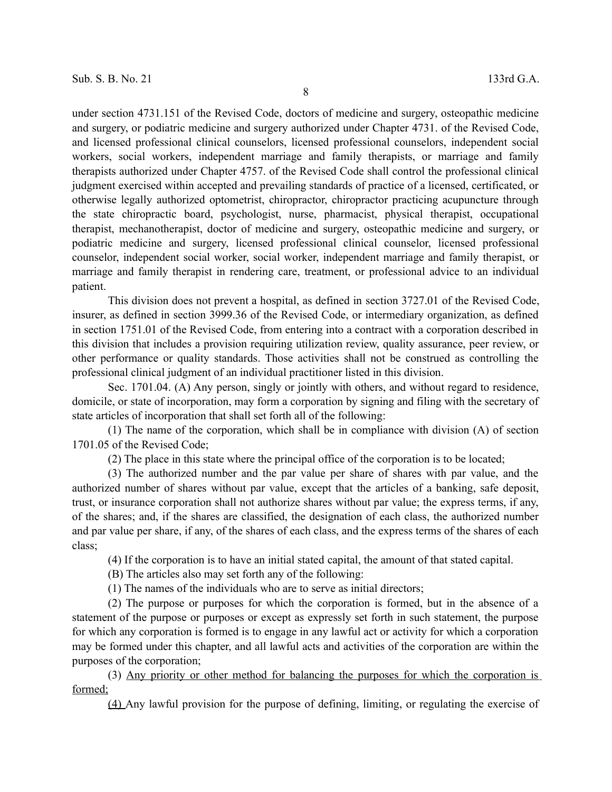under section 4731.151 of the Revised Code, doctors of medicine and surgery, osteopathic medicine and surgery, or podiatric medicine and surgery authorized under Chapter 4731. of the Revised Code, and licensed professional clinical counselors, licensed professional counselors, independent social workers, social workers, independent marriage and family therapists, or marriage and family therapists authorized under Chapter 4757. of the Revised Code shall control the professional clinical judgment exercised within accepted and prevailing standards of practice of a licensed, certificated, or otherwise legally authorized optometrist, chiropractor, chiropractor practicing acupuncture through the state chiropractic board, psychologist, nurse, pharmacist, physical therapist, occupational therapist, mechanotherapist, doctor of medicine and surgery, osteopathic medicine and surgery, or podiatric medicine and surgery, licensed professional clinical counselor, licensed professional counselor, independent social worker, social worker, independent marriage and family therapist, or marriage and family therapist in rendering care, treatment, or professional advice to an individual patient.

This division does not prevent a hospital, as defined in section 3727.01 of the Revised Code, insurer, as defined in section 3999.36 of the Revised Code, or intermediary organization, as defined in section 1751.01 of the Revised Code, from entering into a contract with a corporation described in this division that includes a provision requiring utilization review, quality assurance, peer review, or other performance or quality standards. Those activities shall not be construed as controlling the professional clinical judgment of an individual practitioner listed in this division.

Sec. 1701.04. (A) Any person, singly or jointly with others, and without regard to residence, domicile, or state of incorporation, may form a corporation by signing and filing with the secretary of state articles of incorporation that shall set forth all of the following:

(1) The name of the corporation, which shall be in compliance with division (A) of section 1701.05 of the Revised Code;

(2) The place in this state where the principal office of the corporation is to be located;

(3) The authorized number and the par value per share of shares with par value, and the authorized number of shares without par value, except that the articles of a banking, safe deposit, trust, or insurance corporation shall not authorize shares without par value; the express terms, if any, of the shares; and, if the shares are classified, the designation of each class, the authorized number and par value per share, if any, of the shares of each class, and the express terms of the shares of each class;

(4) If the corporation is to have an initial stated capital, the amount of that stated capital.

(B) The articles also may set forth any of the following:

(1) The names of the individuals who are to serve as initial directors;

(2) The purpose or purposes for which the corporation is formed, but in the absence of a statement of the purpose or purposes or except as expressly set forth in such statement, the purpose for which any corporation is formed is to engage in any lawful act or activity for which a corporation may be formed under this chapter, and all lawful acts and activities of the corporation are within the purposes of the corporation;

(3) Any priority or other method for balancing the purposes for which the corporation is formed;

(4) Any lawful provision for the purpose of defining, limiting, or regulating the exercise of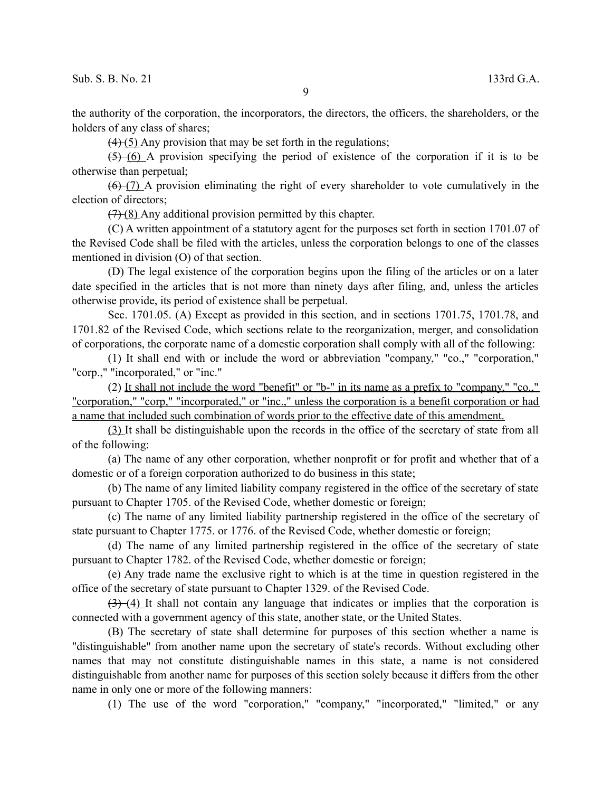the authority of the corporation, the incorporators, the directors, the officers, the shareholders, or the holders of any class of shares;

 $(4)$  (5) Any provision that may be set forth in the regulations;

(5) (6) A provision specifying the period of existence of the corporation if it is to be otherwise than perpetual;

 $(6)$  (7) A provision eliminating the right of every shareholder to vote cumulatively in the election of directors;

 $(7)$  (8) Any additional provision permitted by this chapter.

(C) A written appointment of a statutory agent for the purposes set forth in section 1701.07 of the Revised Code shall be filed with the articles, unless the corporation belongs to one of the classes mentioned in division (O) of that section.

(D) The legal existence of the corporation begins upon the filing of the articles or on a later date specified in the articles that is not more than ninety days after filing, and, unless the articles otherwise provide, its period of existence shall be perpetual.

Sec. 1701.05. (A) Except as provided in this section, and in sections 1701.75, 1701.78, and 1701.82 of the Revised Code, which sections relate to the reorganization, merger, and consolidation of corporations, the corporate name of a domestic corporation shall comply with all of the following:

(1) It shall end with or include the word or abbreviation "company," "co.," "corporation," "corp.," "incorporated," or "inc."

(2) It shall not include the word "benefit" or "b-" in its name as a prefix to "company," "co.," "corporation," "corp," "incorporated," or "inc.," unless the corporation is a benefit corporation or had a name that included such combination of words prior to the effective date of this amendment.

(3) It shall be distinguishable upon the records in the office of the secretary of state from all of the following:

(a) The name of any other corporation, whether nonprofit or for profit and whether that of a domestic or of a foreign corporation authorized to do business in this state;

(b) The name of any limited liability company registered in the office of the secretary of state pursuant to Chapter 1705. of the Revised Code, whether domestic or foreign;

(c) The name of any limited liability partnership registered in the office of the secretary of state pursuant to Chapter 1775. or 1776. of the Revised Code, whether domestic or foreign;

(d) The name of any limited partnership registered in the office of the secretary of state pursuant to Chapter 1782. of the Revised Code, whether domestic or foreign;

(e) Any trade name the exclusive right to which is at the time in question registered in the office of the secretary of state pursuant to Chapter 1329. of the Revised Code.

 $(3)$  (4) It shall not contain any language that indicates or implies that the corporation is connected with a government agency of this state, another state, or the United States.

(B) The secretary of state shall determine for purposes of this section whether a name is "distinguishable" from another name upon the secretary of state's records. Without excluding other names that may not constitute distinguishable names in this state, a name is not considered distinguishable from another name for purposes of this section solely because it differs from the other name in only one or more of the following manners:

(1) The use of the word "corporation," "company," "incorporated," "limited," or any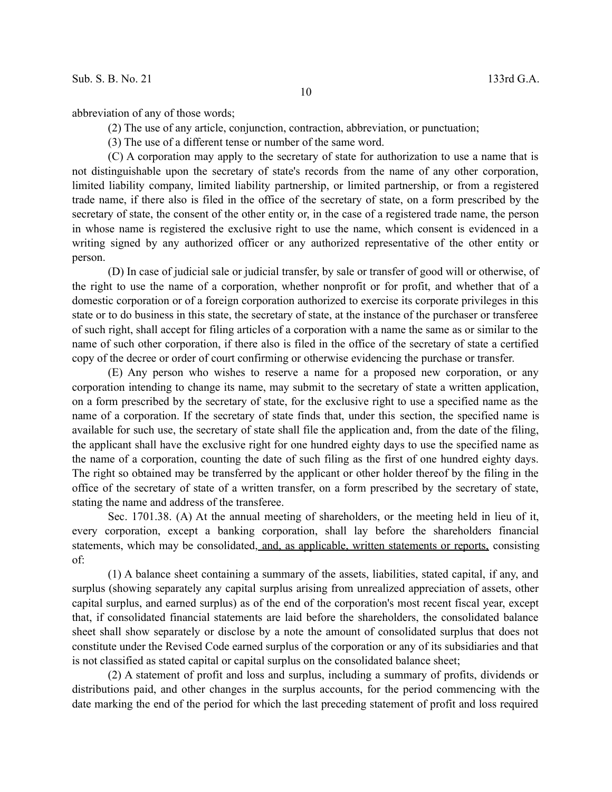abbreviation of any of those words;

(2) The use of any article, conjunction, contraction, abbreviation, or punctuation;

(3) The use of a different tense or number of the same word.

(C) A corporation may apply to the secretary of state for authorization to use a name that is not distinguishable upon the secretary of state's records from the name of any other corporation, limited liability company, limited liability partnership, or limited partnership, or from a registered trade name, if there also is filed in the office of the secretary of state, on a form prescribed by the secretary of state, the consent of the other entity or, in the case of a registered trade name, the person in whose name is registered the exclusive right to use the name, which consent is evidenced in a writing signed by any authorized officer or any authorized representative of the other entity or person.

(D) In case of judicial sale or judicial transfer, by sale or transfer of good will or otherwise, of the right to use the name of a corporation, whether nonprofit or for profit, and whether that of a domestic corporation or of a foreign corporation authorized to exercise its corporate privileges in this state or to do business in this state, the secretary of state, at the instance of the purchaser or transferee of such right, shall accept for filing articles of a corporation with a name the same as or similar to the name of such other corporation, if there also is filed in the office of the secretary of state a certified copy of the decree or order of court confirming or otherwise evidencing the purchase or transfer.

(E) Any person who wishes to reserve a name for a proposed new corporation, or any corporation intending to change its name, may submit to the secretary of state a written application, on a form prescribed by the secretary of state, for the exclusive right to use a specified name as the name of a corporation. If the secretary of state finds that, under this section, the specified name is available for such use, the secretary of state shall file the application and, from the date of the filing, the applicant shall have the exclusive right for one hundred eighty days to use the specified name as the name of a corporation, counting the date of such filing as the first of one hundred eighty days. The right so obtained may be transferred by the applicant or other holder thereof by the filing in the office of the secretary of state of a written transfer, on a form prescribed by the secretary of state, stating the name and address of the transferee.

Sec. 1701.38. (A) At the annual meeting of shareholders, or the meeting held in lieu of it, every corporation, except a banking corporation, shall lay before the shareholders financial statements, which may be consolidated, and, as applicable, written statements or reports, consisting of:

(1) A balance sheet containing a summary of the assets, liabilities, stated capital, if any, and surplus (showing separately any capital surplus arising from unrealized appreciation of assets, other capital surplus, and earned surplus) as of the end of the corporation's most recent fiscal year, except that, if consolidated financial statements are laid before the shareholders, the consolidated balance sheet shall show separately or disclose by a note the amount of consolidated surplus that does not constitute under the Revised Code earned surplus of the corporation or any of its subsidiaries and that is not classified as stated capital or capital surplus on the consolidated balance sheet;

(2) A statement of profit and loss and surplus, including a summary of profits, dividends or distributions paid, and other changes in the surplus accounts, for the period commencing with the date marking the end of the period for which the last preceding statement of profit and loss required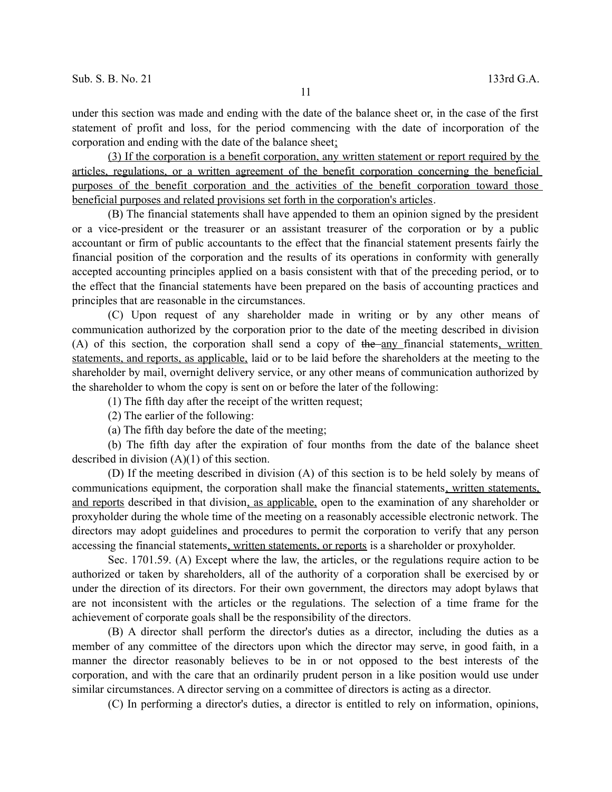under this section was made and ending with the date of the balance sheet or, in the case of the first statement of profit and loss, for the period commencing with the date of incorporation of the corporation and ending with the date of the balance sheet;

(3) If the corporation is a benefit corporation, any written statement or report required by the articles, regulations, or a written agreement of the benefit corporation concerning the beneficial purposes of the benefit corporation and the activities of the benefit corporation toward those beneficial purposes and related provisions set forth in the corporation's articles.

(B) The financial statements shall have appended to them an opinion signed by the president or a vice-president or the treasurer or an assistant treasurer of the corporation or by a public accountant or firm of public accountants to the effect that the financial statement presents fairly the financial position of the corporation and the results of its operations in conformity with generally accepted accounting principles applied on a basis consistent with that of the preceding period, or to the effect that the financial statements have been prepared on the basis of accounting practices and principles that are reasonable in the circumstances.

(C) Upon request of any shareholder made in writing or by any other means of communication authorized by the corporation prior to the date of the meeting described in division  $(A)$  of this section, the corporation shall send a copy of the any financial statements, written statements, and reports, as applicable, laid or to be laid before the shareholders at the meeting to the shareholder by mail, overnight delivery service, or any other means of communication authorized by the shareholder to whom the copy is sent on or before the later of the following:

(1) The fifth day after the receipt of the written request;

(2) The earlier of the following:

(a) The fifth day before the date of the meeting;

(b) The fifth day after the expiration of four months from the date of the balance sheet described in division (A)(1) of this section.

(D) If the meeting described in division (A) of this section is to be held solely by means of communications equipment, the corporation shall make the financial statements, written statements, and reports described in that division, as applicable, open to the examination of any shareholder or proxyholder during the whole time of the meeting on a reasonably accessible electronic network. The directors may adopt guidelines and procedures to permit the corporation to verify that any person accessing the financial statements, written statements, or reports is a shareholder or proxyholder.

Sec. 1701.59. (A) Except where the law, the articles, or the regulations require action to be authorized or taken by shareholders, all of the authority of a corporation shall be exercised by or under the direction of its directors. For their own government, the directors may adopt bylaws that are not inconsistent with the articles or the regulations. The selection of a time frame for the achievement of corporate goals shall be the responsibility of the directors.

(B) A director shall perform the director's duties as a director, including the duties as a member of any committee of the directors upon which the director may serve, in good faith, in a manner the director reasonably believes to be in or not opposed to the best interests of the corporation, and with the care that an ordinarily prudent person in a like position would use under similar circumstances. A director serving on a committee of directors is acting as a director.

(C) In performing a director's duties, a director is entitled to rely on information, opinions,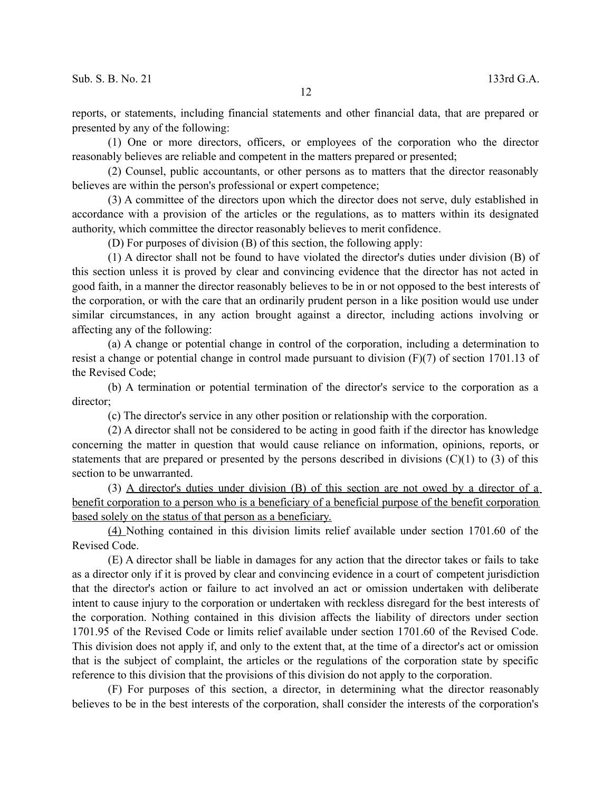reports, or statements, including financial statements and other financial data, that are prepared or presented by any of the following:

(1) One or more directors, officers, or employees of the corporation who the director reasonably believes are reliable and competent in the matters prepared or presented;

(2) Counsel, public accountants, or other persons as to matters that the director reasonably believes are within the person's professional or expert competence;

(3) A committee of the directors upon which the director does not serve, duly established in accordance with a provision of the articles or the regulations, as to matters within its designated authority, which committee the director reasonably believes to merit confidence.

(D) For purposes of division (B) of this section, the following apply:

(1) A director shall not be found to have violated the director's duties under division (B) of this section unless it is proved by clear and convincing evidence that the director has not acted in good faith, in a manner the director reasonably believes to be in or not opposed to the best interests of the corporation, or with the care that an ordinarily prudent person in a like position would use under similar circumstances, in any action brought against a director, including actions involving or affecting any of the following:

(a) A change or potential change in control of the corporation, including a determination to resist a change or potential change in control made pursuant to division (F)(7) of section 1701.13 of the Revised Code;

(b) A termination or potential termination of the director's service to the corporation as a director;

(c) The director's service in any other position or relationship with the corporation.

(2) A director shall not be considered to be acting in good faith if the director has knowledge concerning the matter in question that would cause reliance on information, opinions, reports, or statements that are prepared or presented by the persons described in divisions  $(C)(1)$  to  $(3)$  of this section to be unwarranted.

(3) A director's duties under division (B) of this section are not owed by a director of a benefit corporation to a person who is a beneficiary of a beneficial purpose of the benefit corporation based solely on the status of that person as a beneficiary.

(4) Nothing contained in this division limits relief available under section 1701.60 of the Revised Code.

(E) A director shall be liable in damages for any action that the director takes or fails to take as a director only if it is proved by clear and convincing evidence in a court of competent jurisdiction that the director's action or failure to act involved an act or omission undertaken with deliberate intent to cause injury to the corporation or undertaken with reckless disregard for the best interests of the corporation. Nothing contained in this division affects the liability of directors under section 1701.95 of the Revised Code or limits relief available under section 1701.60 of the Revised Code. This division does not apply if, and only to the extent that, at the time of a director's act or omission that is the subject of complaint, the articles or the regulations of the corporation state by specific reference to this division that the provisions of this division do not apply to the corporation.

(F) For purposes of this section, a director, in determining what the director reasonably believes to be in the best interests of the corporation, shall consider the interests of the corporation's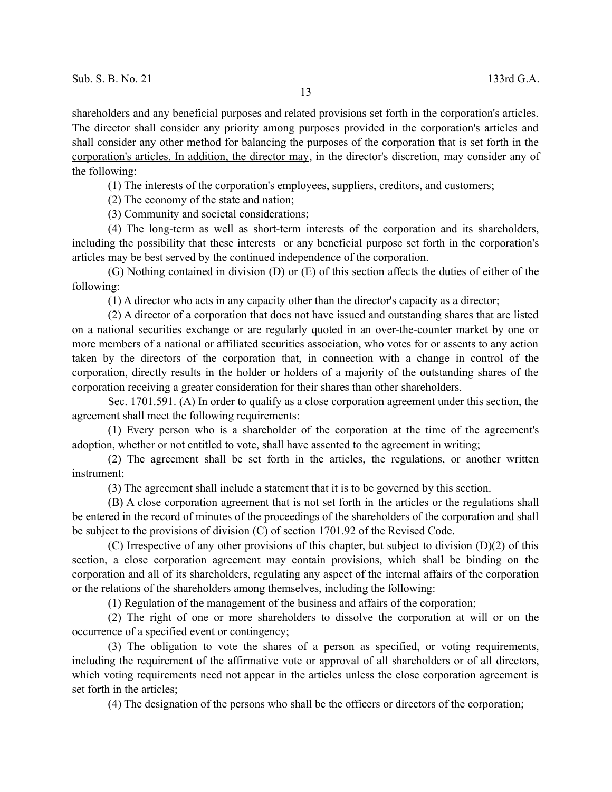shareholders and any beneficial purposes and related provisions set forth in the corporation's articles. The director shall consider any priority among purposes provided in the corporation's articles and shall consider any other method for balancing the purposes of the corporation that is set forth in the corporation's articles. In addition, the director may, in the director's discretion, may consider any of the following:

(1) The interests of the corporation's employees, suppliers, creditors, and customers;

(2) The economy of the state and nation;

(3) Community and societal considerations;

(4) The long-term as well as short-term interests of the corporation and its shareholders, including the possibility that these interests or any beneficial purpose set forth in the corporation's articles may be best served by the continued independence of the corporation.

(G) Nothing contained in division (D) or (E) of this section affects the duties of either of the following:

(1) A director who acts in any capacity other than the director's capacity as a director;

(2) A director of a corporation that does not have issued and outstanding shares that are listed on a national securities exchange or are regularly quoted in an over-the-counter market by one or more members of a national or affiliated securities association, who votes for or assents to any action taken by the directors of the corporation that, in connection with a change in control of the corporation, directly results in the holder or holders of a majority of the outstanding shares of the corporation receiving a greater consideration for their shares than other shareholders.

Sec. 1701.591. (A) In order to qualify as a close corporation agreement under this section, the agreement shall meet the following requirements:

(1) Every person who is a shareholder of the corporation at the time of the agreement's adoption, whether or not entitled to vote, shall have assented to the agreement in writing;

(2) The agreement shall be set forth in the articles, the regulations, or another written instrument;

(3) The agreement shall include a statement that it is to be governed by this section.

(B) A close corporation agreement that is not set forth in the articles or the regulations shall be entered in the record of minutes of the proceedings of the shareholders of the corporation and shall be subject to the provisions of division (C) of section 1701.92 of the Revised Code.

(C) Irrespective of any other provisions of this chapter, but subject to division (D)(2) of this section, a close corporation agreement may contain provisions, which shall be binding on the corporation and all of its shareholders, regulating any aspect of the internal affairs of the corporation or the relations of the shareholders among themselves, including the following:

(1) Regulation of the management of the business and affairs of the corporation;

(2) The right of one or more shareholders to dissolve the corporation at will or on the occurrence of a specified event or contingency;

(3) The obligation to vote the shares of a person as specified, or voting requirements, including the requirement of the affirmative vote or approval of all shareholders or of all directors, which voting requirements need not appear in the articles unless the close corporation agreement is set forth in the articles;

(4) The designation of the persons who shall be the officers or directors of the corporation;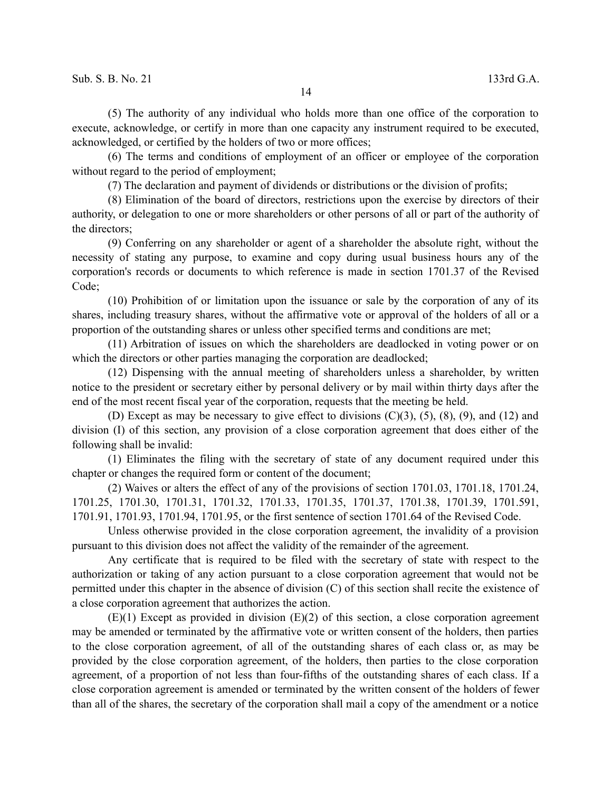(5) The authority of any individual who holds more than one office of the corporation to execute, acknowledge, or certify in more than one capacity any instrument required to be executed, acknowledged, or certified by the holders of two or more offices;

(6) The terms and conditions of employment of an officer or employee of the corporation without regard to the period of employment;

(7) The declaration and payment of dividends or distributions or the division of profits;

(8) Elimination of the board of directors, restrictions upon the exercise by directors of their authority, or delegation to one or more shareholders or other persons of all or part of the authority of the directors;

(9) Conferring on any shareholder or agent of a shareholder the absolute right, without the necessity of stating any purpose, to examine and copy during usual business hours any of the corporation's records or documents to which reference is made in section 1701.37 of the Revised Code;

(10) Prohibition of or limitation upon the issuance or sale by the corporation of any of its shares, including treasury shares, without the affirmative vote or approval of the holders of all or a proportion of the outstanding shares or unless other specified terms and conditions are met;

(11) Arbitration of issues on which the shareholders are deadlocked in voting power or on which the directors or other parties managing the corporation are deadlocked;

(12) Dispensing with the annual meeting of shareholders unless a shareholder, by written notice to the president or secretary either by personal delivery or by mail within thirty days after the end of the most recent fiscal year of the corporation, requests that the meeting be held.

(D) Except as may be necessary to give effect to divisions  $(C)(3)$ ,  $(5)$ ,  $(8)$ ,  $(9)$ , and  $(12)$  and division (I) of this section, any provision of a close corporation agreement that does either of the following shall be invalid:

(1) Eliminates the filing with the secretary of state of any document required under this chapter or changes the required form or content of the document;

(2) Waives or alters the effect of any of the provisions of section 1701.03, 1701.18, 1701.24, 1701.25, 1701.30, 1701.31, 1701.32, 1701.33, 1701.35, 1701.37, 1701.38, 1701.39, 1701.591, 1701.91, 1701.93, 1701.94, 1701.95, or the first sentence of section 1701.64 of the Revised Code.

Unless otherwise provided in the close corporation agreement, the invalidity of a provision pursuant to this division does not affect the validity of the remainder of the agreement.

Any certificate that is required to be filed with the secretary of state with respect to the authorization or taking of any action pursuant to a close corporation agreement that would not be permitted under this chapter in the absence of division (C) of this section shall recite the existence of a close corporation agreement that authorizes the action.

 $(E)(1)$  Except as provided in division  $(E)(2)$  of this section, a close corporation agreement may be amended or terminated by the affirmative vote or written consent of the holders, then parties to the close corporation agreement, of all of the outstanding shares of each class or, as may be provided by the close corporation agreement, of the holders, then parties to the close corporation agreement, of a proportion of not less than four-fifths of the outstanding shares of each class. If a close corporation agreement is amended or terminated by the written consent of the holders of fewer than all of the shares, the secretary of the corporation shall mail a copy of the amendment or a notice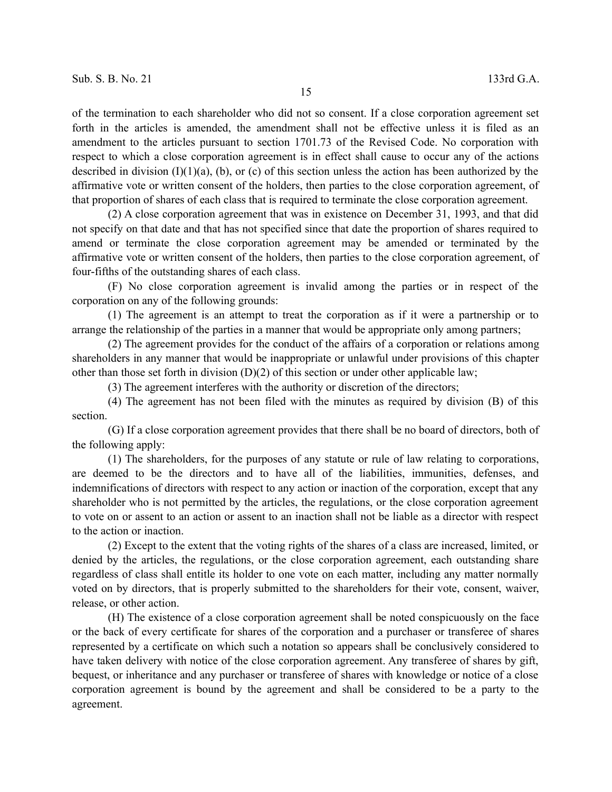of the termination to each shareholder who did not so consent. If a close corporation agreement set forth in the articles is amended, the amendment shall not be effective unless it is filed as an amendment to the articles pursuant to section 1701.73 of the Revised Code. No corporation with respect to which a close corporation agreement is in effect shall cause to occur any of the actions described in division  $(I)(1)(a)$ , (b), or (c) of this section unless the action has been authorized by the affirmative vote or written consent of the holders, then parties to the close corporation agreement, of that proportion of shares of each class that is required to terminate the close corporation agreement.

(2) A close corporation agreement that was in existence on December 31, 1993, and that did not specify on that date and that has not specified since that date the proportion of shares required to amend or terminate the close corporation agreement may be amended or terminated by the affirmative vote or written consent of the holders, then parties to the close corporation agreement, of four-fifths of the outstanding shares of each class.

(F) No close corporation agreement is invalid among the parties or in respect of the corporation on any of the following grounds:

(1) The agreement is an attempt to treat the corporation as if it were a partnership or to arrange the relationship of the parties in a manner that would be appropriate only among partners;

(2) The agreement provides for the conduct of the affairs of a corporation or relations among shareholders in any manner that would be inappropriate or unlawful under provisions of this chapter other than those set forth in division  $(D)(2)$  of this section or under other applicable law;

(3) The agreement interferes with the authority or discretion of the directors;

(4) The agreement has not been filed with the minutes as required by division (B) of this section.

(G) If a close corporation agreement provides that there shall be no board of directors, both of the following apply:

(1) The shareholders, for the purposes of any statute or rule of law relating to corporations, are deemed to be the directors and to have all of the liabilities, immunities, defenses, and indemnifications of directors with respect to any action or inaction of the corporation, except that any shareholder who is not permitted by the articles, the regulations, or the close corporation agreement to vote on or assent to an action or assent to an inaction shall not be liable as a director with respect to the action or inaction.

(2) Except to the extent that the voting rights of the shares of a class are increased, limited, or denied by the articles, the regulations, or the close corporation agreement, each outstanding share regardless of class shall entitle its holder to one vote on each matter, including any matter normally voted on by directors, that is properly submitted to the shareholders for their vote, consent, waiver, release, or other action.

(H) The existence of a close corporation agreement shall be noted conspicuously on the face or the back of every certificate for shares of the corporation and a purchaser or transferee of shares represented by a certificate on which such a notation so appears shall be conclusively considered to have taken delivery with notice of the close corporation agreement. Any transferee of shares by gift, bequest, or inheritance and any purchaser or transferee of shares with knowledge or notice of a close corporation agreement is bound by the agreement and shall be considered to be a party to the agreement.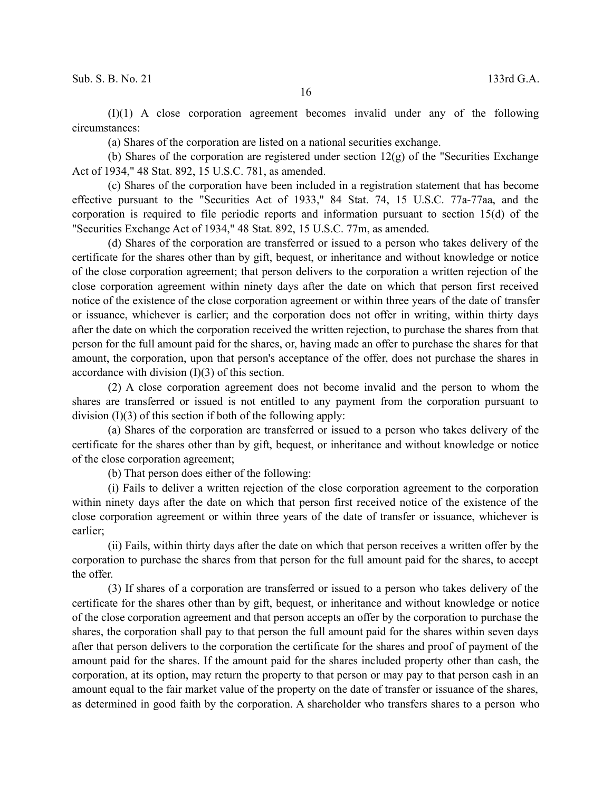(I)(1) A close corporation agreement becomes invalid under any of the following circumstances:

(a) Shares of the corporation are listed on a national securities exchange.

(b) Shares of the corporation are registered under section  $12(g)$  of the "Securities Exchange" Act of 1934," 48 Stat. 892, 15 U.S.C. 781, as amended.

(c) Shares of the corporation have been included in a registration statement that has become effective pursuant to the "Securities Act of 1933," 84 Stat. 74, 15 U.S.C. 77a-77aa, and the corporation is required to file periodic reports and information pursuant to section 15(d) of the "Securities Exchange Act of 1934," 48 Stat. 892, 15 U.S.C. 77m, as amended.

(d) Shares of the corporation are transferred or issued to a person who takes delivery of the certificate for the shares other than by gift, bequest, or inheritance and without knowledge or notice of the close corporation agreement; that person delivers to the corporation a written rejection of the close corporation agreement within ninety days after the date on which that person first received notice of the existence of the close corporation agreement or within three years of the date of transfer or issuance, whichever is earlier; and the corporation does not offer in writing, within thirty days after the date on which the corporation received the written rejection, to purchase the shares from that person for the full amount paid for the shares, or, having made an offer to purchase the shares for that amount, the corporation, upon that person's acceptance of the offer, does not purchase the shares in accordance with division  $(I)(3)$  of this section.

(2) A close corporation agreement does not become invalid and the person to whom the shares are transferred or issued is not entitled to any payment from the corporation pursuant to division (I)(3) of this section if both of the following apply:

(a) Shares of the corporation are transferred or issued to a person who takes delivery of the certificate for the shares other than by gift, bequest, or inheritance and without knowledge or notice of the close corporation agreement;

(b) That person does either of the following:

(i) Fails to deliver a written rejection of the close corporation agreement to the corporation within ninety days after the date on which that person first received notice of the existence of the close corporation agreement or within three years of the date of transfer or issuance, whichever is earlier;

(ii) Fails, within thirty days after the date on which that person receives a written offer by the corporation to purchase the shares from that person for the full amount paid for the shares, to accept the offer.

(3) If shares of a corporation are transferred or issued to a person who takes delivery of the certificate for the shares other than by gift, bequest, or inheritance and without knowledge or notice of the close corporation agreement and that person accepts an offer by the corporation to purchase the shares, the corporation shall pay to that person the full amount paid for the shares within seven days after that person delivers to the corporation the certificate for the shares and proof of payment of the amount paid for the shares. If the amount paid for the shares included property other than cash, the corporation, at its option, may return the property to that person or may pay to that person cash in an amount equal to the fair market value of the property on the date of transfer or issuance of the shares, as determined in good faith by the corporation. A shareholder who transfers shares to a person who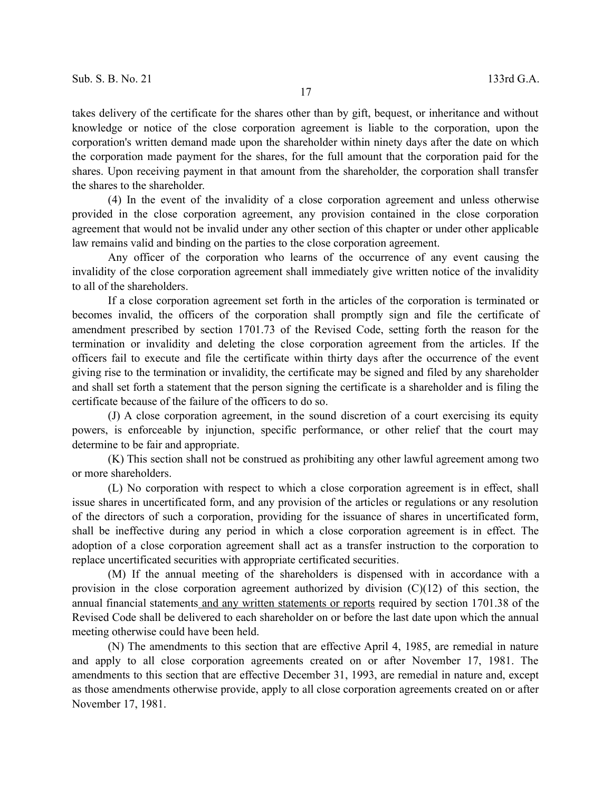takes delivery of the certificate for the shares other than by gift, bequest, or inheritance and without knowledge or notice of the close corporation agreement is liable to the corporation, upon the corporation's written demand made upon the shareholder within ninety days after the date on which the corporation made payment for the shares, for the full amount that the corporation paid for the shares. Upon receiving payment in that amount from the shareholder, the corporation shall transfer the shares to the shareholder.

(4) In the event of the invalidity of a close corporation agreement and unless otherwise provided in the close corporation agreement, any provision contained in the close corporation agreement that would not be invalid under any other section of this chapter or under other applicable law remains valid and binding on the parties to the close corporation agreement.

Any officer of the corporation who learns of the occurrence of any event causing the invalidity of the close corporation agreement shall immediately give written notice of the invalidity to all of the shareholders.

If a close corporation agreement set forth in the articles of the corporation is terminated or becomes invalid, the officers of the corporation shall promptly sign and file the certificate of amendment prescribed by section 1701.73 of the Revised Code, setting forth the reason for the termination or invalidity and deleting the close corporation agreement from the articles. If the officers fail to execute and file the certificate within thirty days after the occurrence of the event giving rise to the termination or invalidity, the certificate may be signed and filed by any shareholder and shall set forth a statement that the person signing the certificate is a shareholder and is filing the certificate because of the failure of the officers to do so.

(J) A close corporation agreement, in the sound discretion of a court exercising its equity powers, is enforceable by injunction, specific performance, or other relief that the court may determine to be fair and appropriate.

(K) This section shall not be construed as prohibiting any other lawful agreement among two or more shareholders.

(L) No corporation with respect to which a close corporation agreement is in effect, shall issue shares in uncertificated form, and any provision of the articles or regulations or any resolution of the directors of such a corporation, providing for the issuance of shares in uncertificated form, shall be ineffective during any period in which a close corporation agreement is in effect. The adoption of a close corporation agreement shall act as a transfer instruction to the corporation to replace uncertificated securities with appropriate certificated securities.

(M) If the annual meeting of the shareholders is dispensed with in accordance with a provision in the close corporation agreement authorized by division  $(C)(12)$  of this section, the annual financial statements and any written statements or reports required by section 1701.38 of the Revised Code shall be delivered to each shareholder on or before the last date upon which the annual meeting otherwise could have been held.

(N) The amendments to this section that are effective April 4, 1985, are remedial in nature and apply to all close corporation agreements created on or after November 17, 1981. The amendments to this section that are effective December 31, 1993, are remedial in nature and, except as those amendments otherwise provide, apply to all close corporation agreements created on or after November 17, 1981.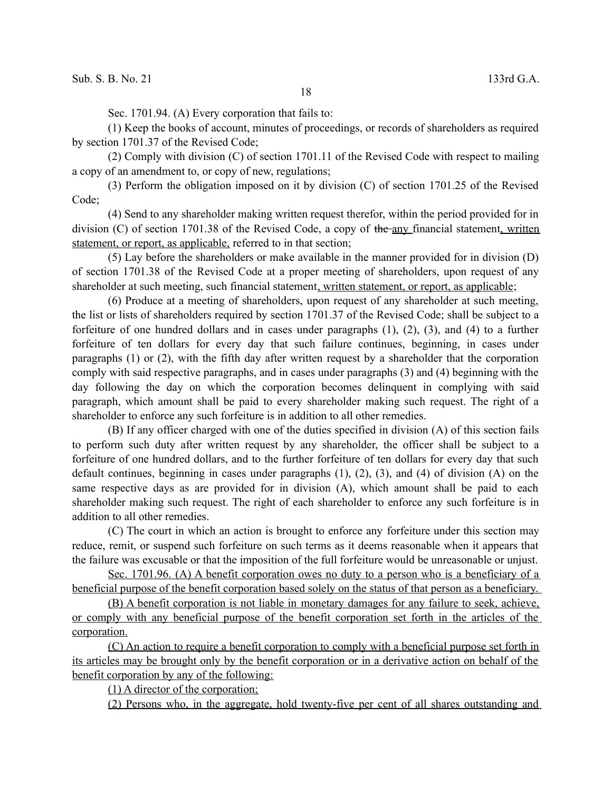Sec. 1701.94. (A) Every corporation that fails to:

(1) Keep the books of account, minutes of proceedings, or records of shareholders as required by section 1701.37 of the Revised Code;

(2) Comply with division (C) of section 1701.11 of the Revised Code with respect to mailing a copy of an amendment to, or copy of new, regulations;

(3) Perform the obligation imposed on it by division (C) of section 1701.25 of the Revised Code;

(4) Send to any shareholder making written request therefor, within the period provided for in division (C) of section 1701.38 of the Revised Code, a copy of the any financial statement, written statement, or report, as applicable, referred to in that section;

(5) Lay before the shareholders or make available in the manner provided for in division (D) of section 1701.38 of the Revised Code at a proper meeting of shareholders, upon request of any shareholder at such meeting, such financial statement, written statement, or report, as applicable;

(6) Produce at a meeting of shareholders, upon request of any shareholder at such meeting, the list or lists of shareholders required by section 1701.37 of the Revised Code; shall be subject to a forfeiture of one hundred dollars and in cases under paragraphs (1), (2), (3), and (4) to a further forfeiture of ten dollars for every day that such failure continues, beginning, in cases under paragraphs (1) or (2), with the fifth day after written request by a shareholder that the corporation comply with said respective paragraphs, and in cases under paragraphs (3) and (4) beginning with the day following the day on which the corporation becomes delinquent in complying with said paragraph, which amount shall be paid to every shareholder making such request. The right of a shareholder to enforce any such forfeiture is in addition to all other remedies.

(B) If any officer charged with one of the duties specified in division (A) of this section fails to perform such duty after written request by any shareholder, the officer shall be subject to a forfeiture of one hundred dollars, and to the further forfeiture of ten dollars for every day that such default continues, beginning in cases under paragraphs (1), (2), (3), and (4) of division (A) on the same respective days as are provided for in division (A), which amount shall be paid to each shareholder making such request. The right of each shareholder to enforce any such forfeiture is in addition to all other remedies.

(C) The court in which an action is brought to enforce any forfeiture under this section may reduce, remit, or suspend such forfeiture on such terms as it deems reasonable when it appears that the failure was excusable or that the imposition of the full forfeiture would be unreasonable or unjust.

 Sec. 1701.96. (A) A benefit corporation owes no duty to a person who is a beneficiary of a beneficial purpose of the benefit corporation based solely on the status of that person as a beneficiary.

 (B) A benefit corporation is not liable in monetary damages for any failure to seek, achieve, or comply with any beneficial purpose of the benefit corporation set forth in the articles of the corporation.

 (C) An action to require a benefit corporation to comply with a beneficial purpose set forth in its articles may be brought only by the benefit corporation or in a derivative action on behalf of the benefit corporation by any of the following:

(1) A director of the corporation;

(2) Persons who, in the aggregate, hold twenty-five per cent of all shares outstanding and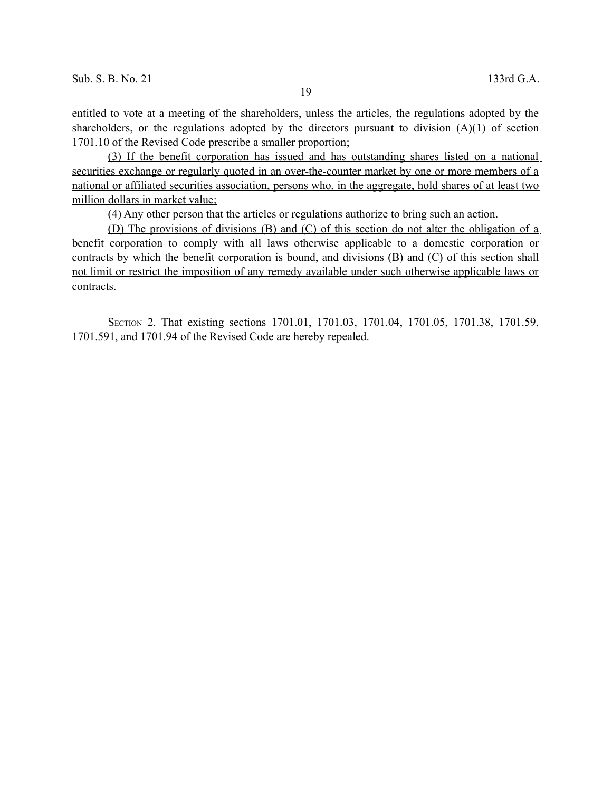entitled to vote at a meeting of the shareholders, unless the articles, the regulations adopted by the shareholders, or the regulations adopted by the directors pursuant to division  $(A)(1)$  of section 1701.10 of the Revised Code prescribe a smaller proportion;

(3) If the benefit corporation has issued and has outstanding shares listed on a national securities exchange or regularly quoted in an over-the-counter market by one or more members of a national or affiliated securities association, persons who, in the aggregate, hold shares of at least two million dollars in market value;

(4) Any other person that the articles or regulations authorize to bring such an action.

(D) The provisions of divisions (B) and (C) of this section do not alter the obligation of a benefit corporation to comply with all laws otherwise applicable to a domestic corporation or contracts by which the benefit corporation is bound, and divisions (B) and (C) of this section shall not limit or restrict the imposition of any remedy available under such otherwise applicable laws or contracts.

SECTION 2. That existing sections 1701.01, 1701.03, 1701.04, 1701.05, 1701.38, 1701.59, 1701.591, and 1701.94 of the Revised Code are hereby repealed.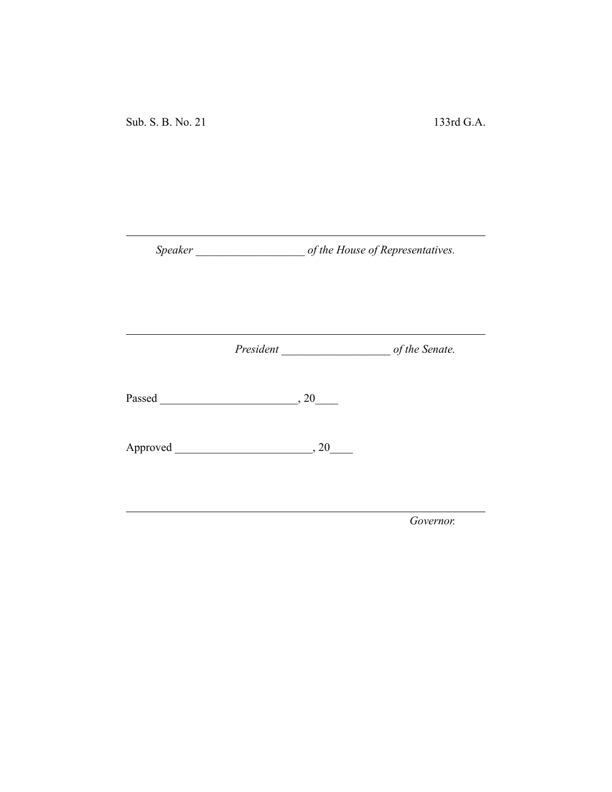Sub. S. B. No. 21 133rd G.A.

*Speaker \_\_\_\_\_\_\_\_\_\_\_\_\_\_\_\_\_\_\_ of the House of Representatives.*

*President \_\_\_\_\_\_\_\_\_\_\_\_\_\_\_\_\_\_\_ of the Senate.*

Passed \_\_\_\_\_\_\_\_\_\_\_\_\_\_\_\_\_\_\_\_\_\_\_\_, 20\_\_\_\_

Approved \_\_\_\_\_\_\_\_\_\_\_\_\_\_\_\_\_\_\_\_\_\_\_\_, 20\_\_\_\_

*Governor.*